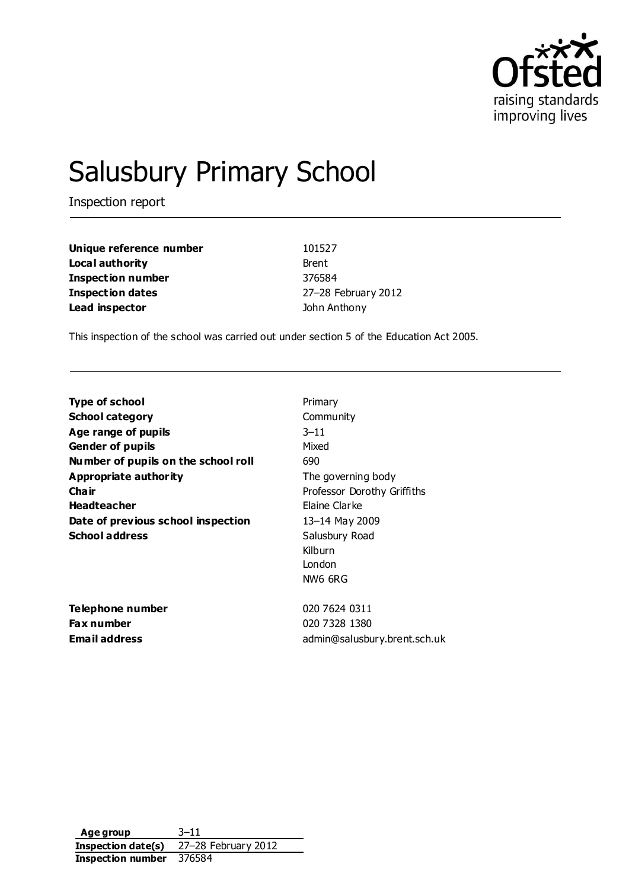

# Salusbury Primary School

Inspection report

| Unique reference number | 101527              |
|-------------------------|---------------------|
| Local authority         | Brent               |
| Inspection number       | 376584              |
| <b>Inspection dates</b> | 27-28 February 2012 |
| Lead inspector          | John Anthony        |

This inspection of the school was carried out under section 5 of the Education Act 2005.

| Type of school                      | Primary                      |
|-------------------------------------|------------------------------|
| <b>School category</b>              | Community                    |
| Age range of pupils                 | $3 - 11$                     |
| <b>Gender of pupils</b>             | Mixed                        |
| Number of pupils on the school roll | 690                          |
| Appropriate authority               | The governing body           |
| Cha ir                              | Professor Dorothy Griffiths  |
| <b>Headteacher</b>                  | Elaine Clarke                |
| Date of previous school inspection  | 13-14 May 2009               |
| <b>School address</b>               | Salusbury Road               |
|                                     | Kilburn                      |
|                                     | London                       |
|                                     | NW6 6RG                      |
| <b>Telephone number</b>             | 020 7624 0311                |
| <b>Fax number</b>                   | 020 7328 1380                |
| Email address                       | admin@salusbury.brent.sch.uk |

**Age group** 3–11 **Inspection date(s)** 27–28 February 2012 **Inspection number** 376584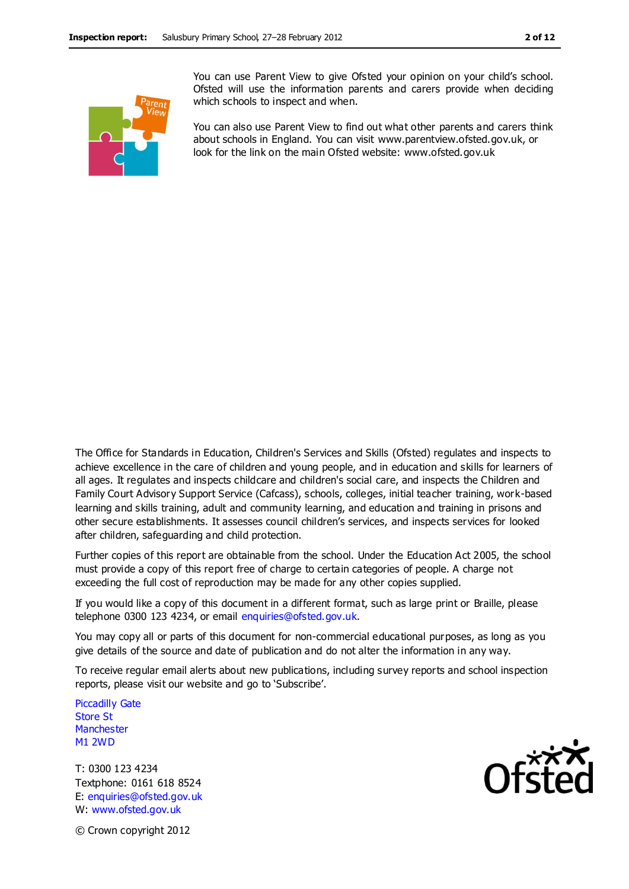

You can use Parent View to give Ofsted your opinion on your child's school. Ofsted will use the information parents and carers provide when deciding which schools to inspect and when.

You can also use Parent View to find out what other parents and carers think about schools in England. You can visit www.parentview.ofsted.gov.uk, or look for the link on the main Ofsted website: www.ofsted.gov.uk

The Office for Standards in Education, Children's Services and Skills (Ofsted) regulates and inspects to achieve excellence in the care of children and young people, and in education and skills for learners of all ages. It regulates and inspects childcare and children's social care, and inspects the Children and Family Court Advisory Support Service (Cafcass), schools, colleges, initial teacher training, work-based learning and skills training, adult and community learning, and education and training in prisons and other secure establishments. It assesses council children's services, and inspects services for looked after children, safeguarding and child protection.

Further copies of this report are obtainable from the school. Under the Education Act 2005, the school must provide a copy of this report free of charge to certain categories of people. A charge not exceeding the full cost of reproduction may be made for any other copies supplied.

If you would like a copy of this document in a different format, such as large print or Braille, please telephone 0300 123 4234, or email enquiries@ofsted.gov.uk.

You may copy all or parts of this document for non-commercial educational purposes, as long as you give details of the source and date of publication and do not alter the information in any way.

To receive regular email alerts about new publications, including survey reports and school inspection reports, please visit our website and go to 'Subscribe'.

Piccadilly Gate Store St **Manchester** M1 2WD

T: 0300 123 4234 Textphone: 0161 618 8524 E: enquiries@ofsted.gov.uk W: www.ofsted.gov.uk



© Crown copyright 2012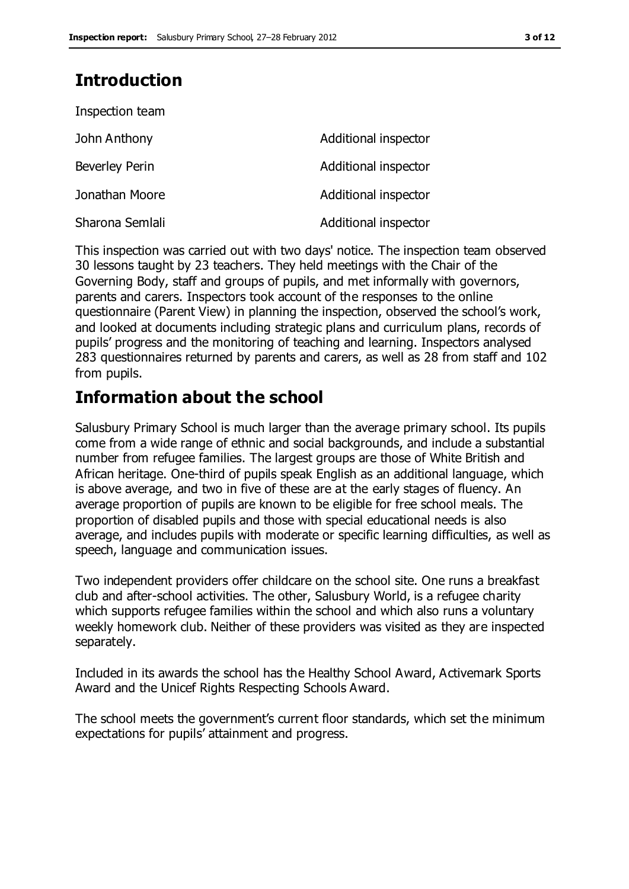## **Introduction**

| Inspection team |                      |
|-----------------|----------------------|
| John Anthony    | Additional inspector |
| Beverley Perin  | Additional inspector |
| Jonathan Moore  | Additional inspector |
| Sharona Semlali | Additional inspector |

This inspection was carried out with two days' notice. The inspection team observed 30 lessons taught by 23 teachers. They held meetings with the Chair of the Governing Body, staff and groups of pupils, and met informally with governors, parents and carers. Inspectors took account of the responses to the online questionnaire (Parent View) in planning the inspection, observed the school's work, and looked at documents including strategic plans and curriculum plans, records of pupils' progress and the monitoring of teaching and learning. Inspectors analysed 283 questionnaires returned by parents and carers, as well as 28 from staff and 102 from pupils.

## **Information about the school**

Salusbury Primary School is much larger than the average primary school. Its pupils come from a wide range of ethnic and social backgrounds, and include a substantial number from refugee families. The largest groups are those of White British and African heritage. One-third of pupils speak English as an additional language, which is above average, and two in five of these are at the early stages of fluency. An average proportion of pupils are known to be eligible for free school meals. The proportion of disabled pupils and those with special educational needs is also average, and includes pupils with moderate or specific learning difficulties, as well as speech, language and communication issues.

Two independent providers offer childcare on the school site. One runs a breakfast club and after-school activities. The other, Salusbury World, is a refugee charity which supports refugee families within the school and which also runs a voluntary weekly homework club. Neither of these providers was visited as they are inspected separately.

Included in its awards the school has the Healthy School Award, Activemark Sports Award and the Unicef Rights Respecting Schools Award.

The school meets the government's current floor standards, which set the minimum expectations for pupils' attainment and progress.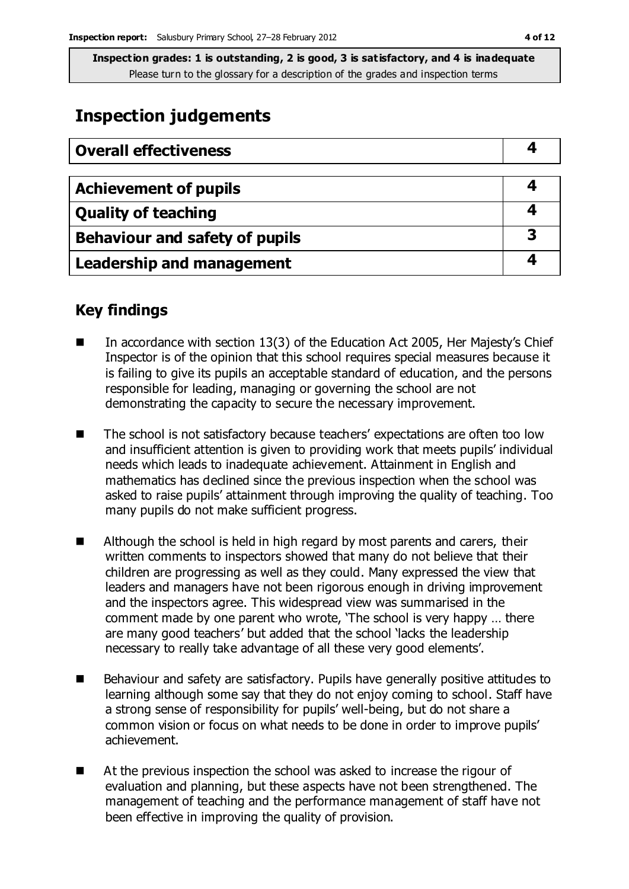## **Inspection judgements**

| <b>Overall effectiveness</b>     |    |
|----------------------------------|----|
| <b>Achievement of pupils</b>     |    |
| <b>Quality of teaching</b>       |    |
| Behaviour and safety of pupils   | -3 |
| <b>Leadership and management</b> |    |

### **Key findings**

- In accordance with section 13(3) of the Education Act 2005, Her Majesty's Chief Inspector is of the opinion that this school requires special measures because it is failing to give its pupils an acceptable standard of education, and the persons responsible for leading, managing or governing the school are not demonstrating the capacity to secure the necessary improvement.
- The school is not satisfactory because teachers' expectations are often too low and insufficient attention is given to providing work that meets pupils' individual needs which leads to inadequate achievement. Attainment in English and mathematics has declined since the previous inspection when the school was asked to raise pupils' attainment through improving the quality of teaching. Too many pupils do not make sufficient progress.
- Although the school is held in high regard by most parents and carers, their written comments to inspectors showed that many do not believe that their children are progressing as well as they could. Many expressed the view that leaders and managers have not been rigorous enough in driving improvement and the inspectors agree. This widespread view was summarised in the comment made by one parent who wrote, 'The school is very happy … there are many good teachers' but added that the school 'lacks the leadership necessary to really take advantage of all these very good elements'.
- Behaviour and safety are satisfactory. Pupils have generally positive attitudes to learning although some say that they do not enjoy coming to school. Staff have a strong sense of responsibility for pupils' well-being, but do not share a common vision or focus on what needs to be done in order to improve pupils' achievement.
- At the previous inspection the school was asked to increase the rigour of evaluation and planning, but these aspects have not been strengthened. The management of teaching and the performance management of staff have not been effective in improving the quality of provision.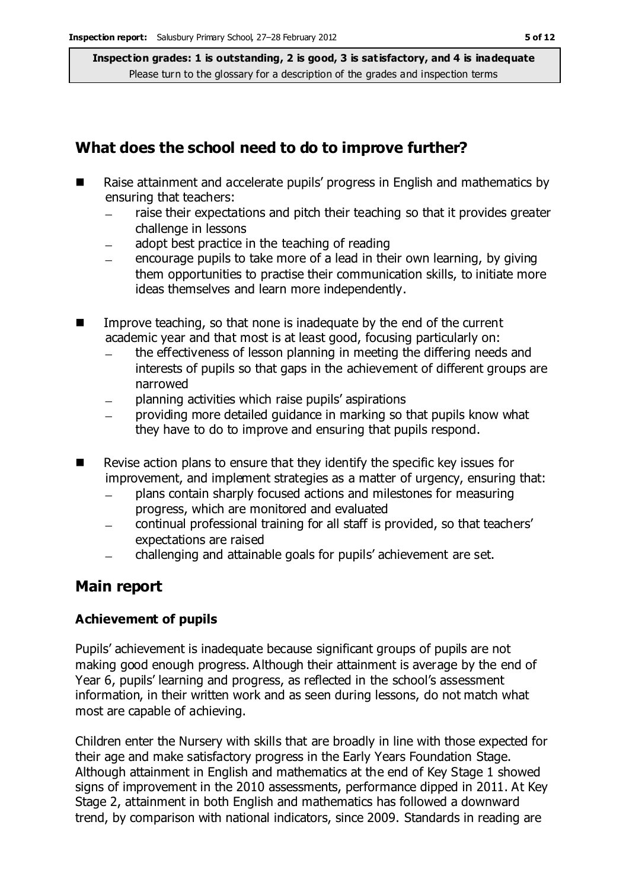## **What does the school need to do to improve further?**

- Raise attainment and accelerate pupils' progress in English and mathematics by ensuring that teachers:
	- raise their expectations and pitch their teaching so that it provides greater challenge in lessons
	- adopt best practice in the teaching of reading  $\overline{\phantom{0}}$
	- encourage pupils to take more of a lead in their own learning, by giving them opportunities to practise their communication skills, to initiate more ideas themselves and learn more independently.
- Improve teaching, so that none is inadequate by the end of the current academic year and that most is at least good, focusing particularly on:
	- the effectiveness of lesson planning in meeting the differing needs and interests of pupils so that gaps in the achievement of different groups are narrowed
	- planning activities which raise pupils' aspirations
	- providing more detailed guidance in marking so that pupils know what they have to do to improve and ensuring that pupils respond.
- $\blacksquare$  Revise action plans to ensure that they identify the specific key issues for improvement, and implement strategies as a matter of urgency, ensuring that:
	- plans contain sharply focused actions and milestones for measuring  $\equiv$ progress, which are monitored and evaluated
	- continual professional training for all staff is provided, so that teachers'  $\equiv$ expectations are raised
	- challenging and attainable goals for pupils' achievement are set.

## **Main report**

#### **Achievement of pupils**

Pupils' achievement is inadequate because significant groups of pupils are not making good enough progress. Although their attainment is average by the end of Year 6, pupils' learning and progress, as reflected in the school's assessment information, in their written work and as seen during lessons, do not match what most are capable of achieving.

Children enter the Nursery with skills that are broadly in line with those expected for their age and make satisfactory progress in the Early Years Foundation Stage. Although attainment in English and mathematics at the end of Key Stage 1 showed signs of improvement in the 2010 assessments, performance dipped in 2011. At Key Stage 2, attainment in both English and mathematics has followed a downward trend, by comparison with national indicators, since 2009. Standards in reading are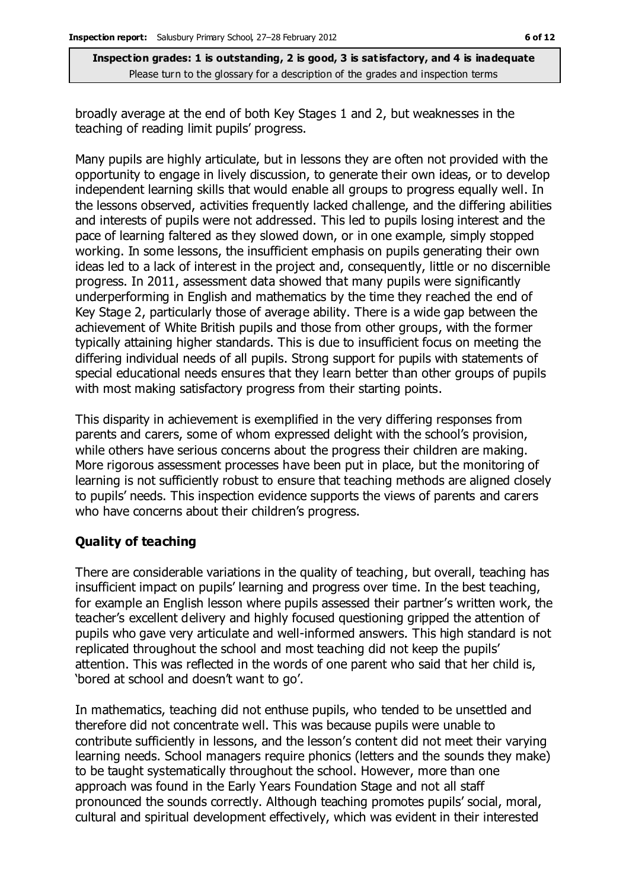broadly average at the end of both Key Stages 1 and 2, but weaknesses in the teaching of reading limit pupils' progress.

Many pupils are highly articulate, but in lessons they are often not provided with the opportunity to engage in lively discussion, to generate their own ideas, or to develop independent learning skills that would enable all groups to progress equally well. In the lessons observed, activities frequently lacked challenge, and the differing abilities and interests of pupils were not addressed. This led to pupils losing interest and the pace of learning faltered as they slowed down, or in one example, simply stopped working. In some lessons, the insufficient emphasis on pupils generating their own ideas led to a lack of interest in the project and, consequently, little or no discernible progress. In 2011, assessment data showed that many pupils were significantly underperforming in English and mathematics by the time they reached the end of Key Stage 2, particularly those of average ability. There is a wide gap between the achievement of White British pupils and those from other groups, with the former typically attaining higher standards. This is due to insufficient focus on meeting the differing individual needs of all pupils. Strong support for pupils with statements of special educational needs ensures that they learn better than other groups of pupils with most making satisfactory progress from their starting points.

This disparity in achievement is exemplified in the very differing responses from parents and carers, some of whom expressed delight with the school's provision, while others have serious concerns about the progress their children are making. More rigorous assessment processes have been put in place, but the monitoring of learning is not sufficiently robust to ensure that teaching methods are aligned closely to pupils' needs. This inspection evidence supports the views of parents and carers who have concerns about their children's progress.

#### **Quality of teaching**

There are considerable variations in the quality of teaching, but overall, teaching has insufficient impact on pupils' learning and progress over time. In the best teaching, for example an English lesson where pupils assessed their partner's written work, the teacher's excellent delivery and highly focused questioning gripped the attention of pupils who gave very articulate and well-informed answers. This high standard is not replicated throughout the school and most teaching did not keep the pupils' attention. This was reflected in the words of one parent who said that her child is, 'bored at school and doesn't want to go'.

In mathematics, teaching did not enthuse pupils, who tended to be unsettled and therefore did not concentrate well. This was because pupils were unable to contribute sufficiently in lessons, and the lesson's content did not meet their varying learning needs. School managers require phonics (letters and the sounds they make) to be taught systematically throughout the school. However, more than one approach was found in the Early Years Foundation Stage and not all staff pronounced the sounds correctly. Although teaching promotes pupils' social, moral, cultural and spiritual development effectively, which was evident in their interested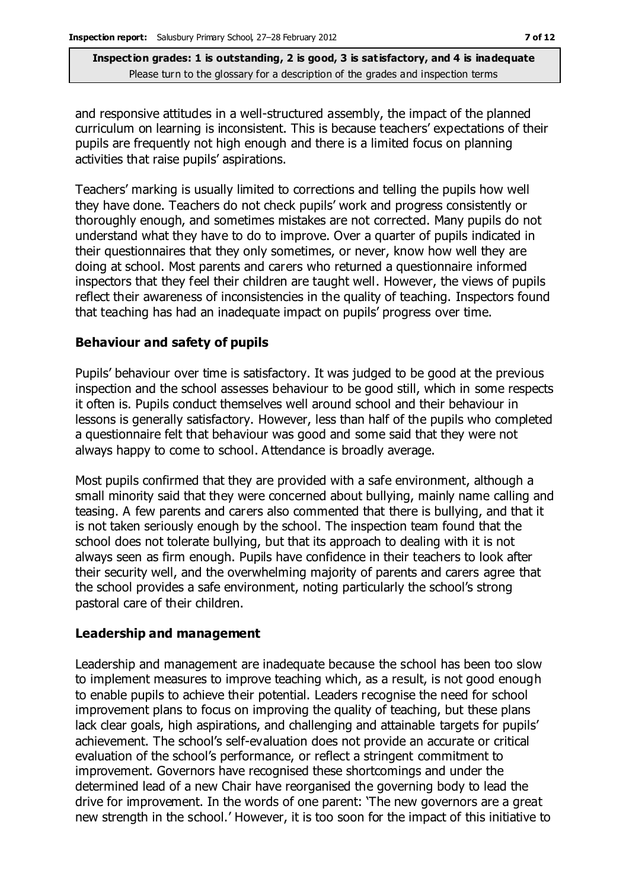and responsive attitudes in a well-structured assembly, the impact of the planned curriculum on learning is inconsistent. This is because teachers' expectations of their pupils are frequently not high enough and there is a limited focus on planning activities that raise pupils' aspirations.

Teachers' marking is usually limited to corrections and telling the pupils how well they have done. Teachers do not check pupils' work and progress consistently or thoroughly enough, and sometimes mistakes are not corrected. Many pupils do not understand what they have to do to improve. Over a quarter of pupils indicated in their questionnaires that they only sometimes, or never, know how well they are doing at school. Most parents and carers who returned a questionnaire informed inspectors that they feel their children are taught well. However, the views of pupils reflect their awareness of inconsistencies in the quality of teaching. Inspectors found that teaching has had an inadequate impact on pupils' progress over time.

#### **Behaviour and safety of pupils**

Pupils' behaviour over time is satisfactory. It was judged to be good at the previous inspection and the school assesses behaviour to be good still, which in some respects it often is. Pupils conduct themselves well around school and their behaviour in lessons is generally satisfactory. However, less than half of the pupils who completed a questionnaire felt that behaviour was good and some said that they were not always happy to come to school. Attendance is broadly average.

Most pupils confirmed that they are provided with a safe environment, although a small minority said that they were concerned about bullying, mainly name calling and teasing. A few parents and carers also commented that there is bullying, and that it is not taken seriously enough by the school. The inspection team found that the school does not tolerate bullying, but that its approach to dealing with it is not always seen as firm enough. Pupils have confidence in their teachers to look after their security well, and the overwhelming majority of parents and carers agree that the school provides a safe environment, noting particularly the school's strong pastoral care of their children.

#### **Leadership and management**

Leadership and management are inadequate because the school has been too slow to implement measures to improve teaching which, as a result, is not good enough to enable pupils to achieve their potential. Leaders recognise the need for school improvement plans to focus on improving the quality of teaching, but these plans lack clear goals, high aspirations, and challenging and attainable targets for pupils' achievement. The school's self-evaluation does not provide an accurate or critical evaluation of the school's performance, or reflect a stringent commitment to improvement. Governors have recognised these shortcomings and under the determined lead of a new Chair have reorganised the governing body to lead the drive for improvement. In the words of one parent: 'The new governors are a great new strength in the school.' However, it is too soon for the impact of this initiative to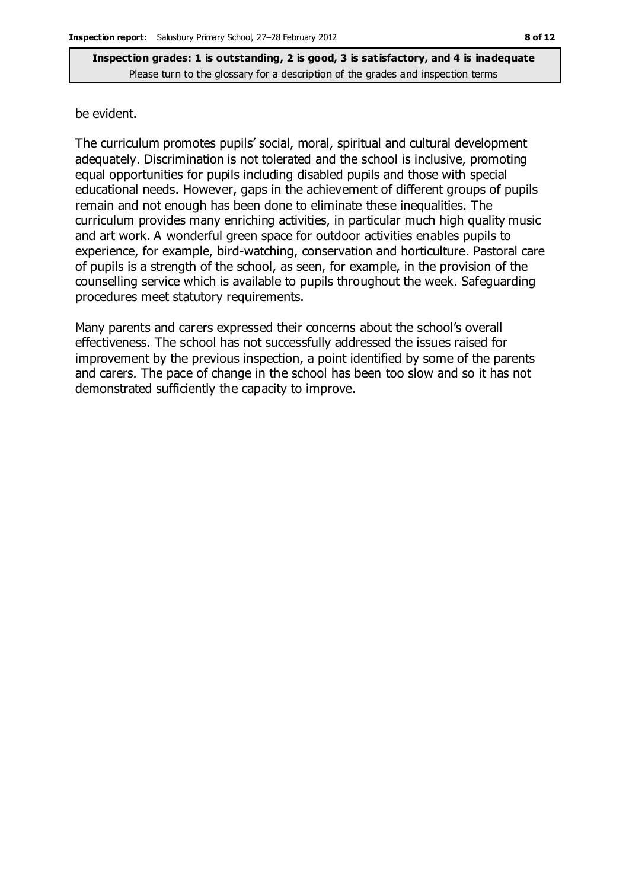be evident.

The curriculum promotes pupils' social, moral, spiritual and cultural development adequately. Discrimination is not tolerated and the school is inclusive, promoting equal opportunities for pupils including disabled pupils and those with special educational needs. However, gaps in the achievement of different groups of pupils remain and not enough has been done to eliminate these inequalities. The curriculum provides many enriching activities, in particular much high quality music and art work. A wonderful green space for outdoor activities enables pupils to experience, for example, bird-watching, conservation and horticulture. Pastoral care of pupils is a strength of the school, as seen, for example, in the provision of the counselling service which is available to pupils throughout the week. Safeguarding procedures meet statutory requirements.

Many parents and carers expressed their concerns about the school's overall effectiveness. The school has not successfully addressed the issues raised for improvement by the previous inspection, a point identified by some of the parents and carers. The pace of change in the school has been too slow and so it has not demonstrated sufficiently the capacity to improve.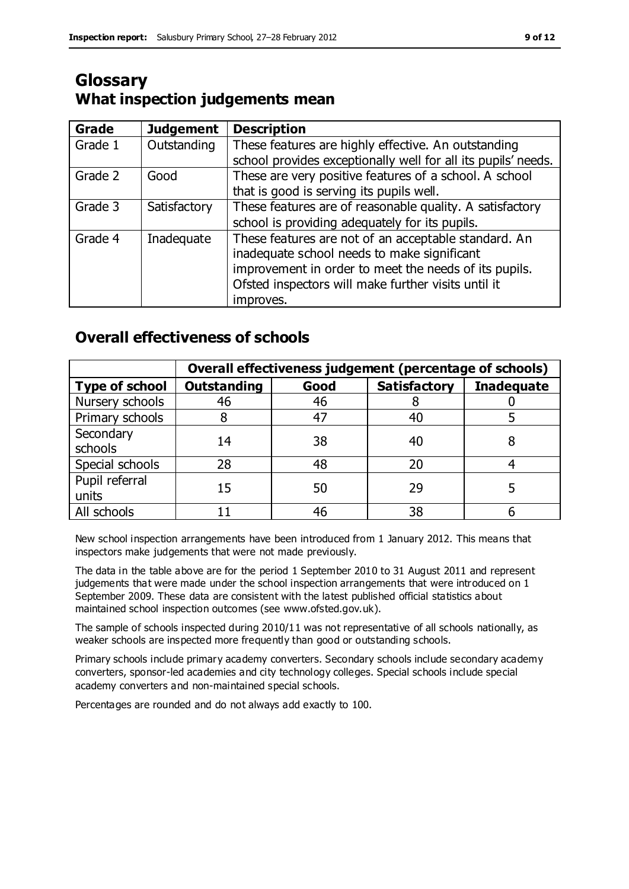## **Glossary What inspection judgements mean**

| Grade   | <b>Judgement</b> | <b>Description</b>                                            |
|---------|------------------|---------------------------------------------------------------|
| Grade 1 | Outstanding      | These features are highly effective. An outstanding           |
|         |                  | school provides exceptionally well for all its pupils' needs. |
| Grade 2 | Good             | These are very positive features of a school. A school        |
|         |                  | that is good is serving its pupils well.                      |
| Grade 3 | Satisfactory     | These features are of reasonable quality. A satisfactory      |
|         |                  | school is providing adequately for its pupils.                |
| Grade 4 | Inadequate       | These features are not of an acceptable standard. An          |
|         |                  | inadequate school needs to make significant                   |
|         |                  | improvement in order to meet the needs of its pupils.         |
|         |                  | Ofsted inspectors will make further visits until it           |
|         |                  | improves.                                                     |

## **Overall effectiveness of schools**

|                         | Overall effectiveness judgement (percentage of schools) |      |                     |                   |
|-------------------------|---------------------------------------------------------|------|---------------------|-------------------|
| <b>Type of school</b>   | <b>Outstanding</b>                                      | Good | <b>Satisfactory</b> | <b>Inadequate</b> |
| Nursery schools         | 46                                                      | 46   |                     |                   |
| Primary schools         |                                                         | 47   | 40                  |                   |
| Secondary<br>schools    | 14                                                      | 38   | 40                  |                   |
| Special schools         | 28                                                      | 48   | 20                  |                   |
| Pupil referral<br>units | 15                                                      | 50   | 29                  |                   |
| All schools             |                                                         | 46   | 38                  |                   |

New school inspection arrangements have been introduced from 1 January 2012. This means that inspectors make judgements that were not made previously.

The data in the table above are for the period 1 September 2010 to 31 August 2011 and represent judgements that were made under the school inspection arrangements that were introduced on 1 September 2009. These data are consistent with the latest published official statistics about maintained school inspection outcomes (see www.ofsted.gov.uk).

The sample of schools inspected during 2010/11 was not representative of all schools nationally, as weaker schools are inspected more frequently than good or outstanding schools.

Primary schools include primary academy converters. Secondary schools include secondary academy converters, sponsor-led academies and city technology colleges. Special schools include special academy converters and non-maintained special schools.

Percentages are rounded and do not always add exactly to 100.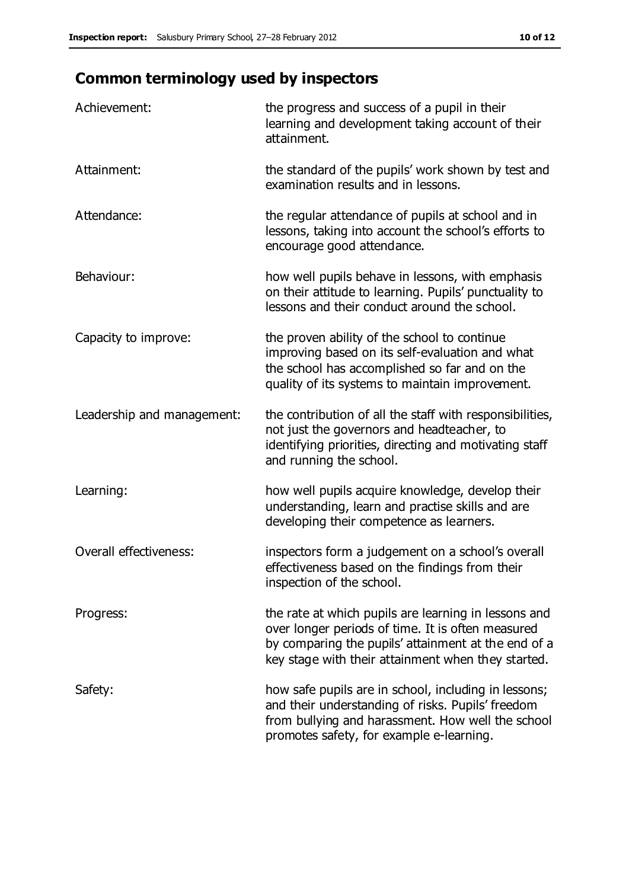# **Common terminology used by inspectors**

| Achievement:               | the progress and success of a pupil in their<br>learning and development taking account of their<br>attainment.                                                                                                        |
|----------------------------|------------------------------------------------------------------------------------------------------------------------------------------------------------------------------------------------------------------------|
| Attainment:                | the standard of the pupils' work shown by test and<br>examination results and in lessons.                                                                                                                              |
| Attendance:                | the regular attendance of pupils at school and in<br>lessons, taking into account the school's efforts to<br>encourage good attendance.                                                                                |
| Behaviour:                 | how well pupils behave in lessons, with emphasis<br>on their attitude to learning. Pupils' punctuality to<br>lessons and their conduct around the school.                                                              |
| Capacity to improve:       | the proven ability of the school to continue<br>improving based on its self-evaluation and what<br>the school has accomplished so far and on the<br>quality of its systems to maintain improvement.                    |
| Leadership and management: | the contribution of all the staff with responsibilities,<br>not just the governors and headteacher, to<br>identifying priorities, directing and motivating staff<br>and running the school.                            |
| Learning:                  | how well pupils acquire knowledge, develop their<br>understanding, learn and practise skills and are<br>developing their competence as learners.                                                                       |
| Overall effectiveness:     | inspectors form a judgement on a school's overall<br>effectiveness based on the findings from their<br>inspection of the school.                                                                                       |
| Progress:                  | the rate at which pupils are learning in lessons and<br>over longer periods of time. It is often measured<br>by comparing the pupils' attainment at the end of a<br>key stage with their attainment when they started. |
| Safety:                    | how safe pupils are in school, including in lessons;<br>and their understanding of risks. Pupils' freedom<br>from bullying and harassment. How well the school<br>promotes safety, for example e-learning.             |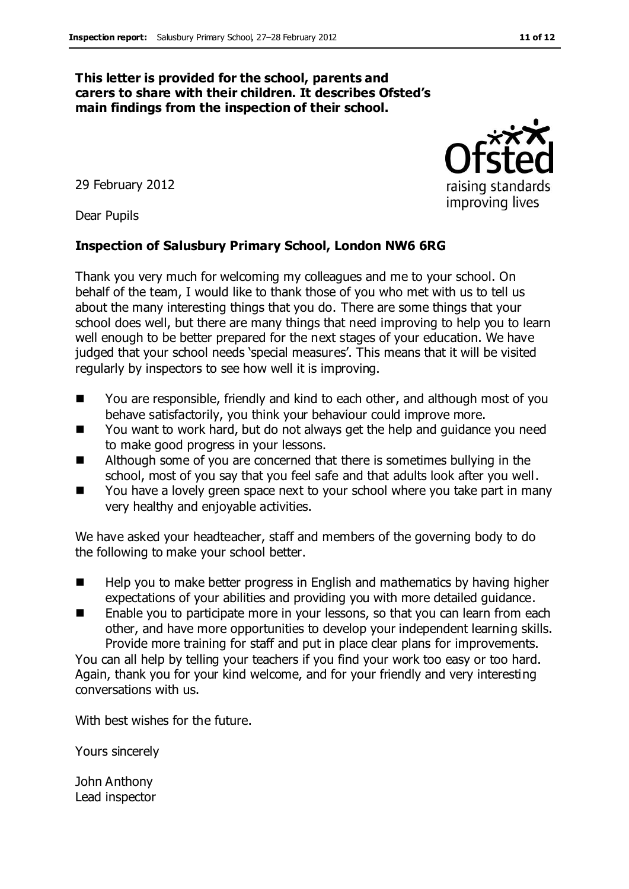#### **This letter is provided for the school, parents and carers to share with their children. It describes Ofsted's main findings from the inspection of their school.**

29 February 2012

Dear Pupils

#### **Inspection of Salusbury Primary School, London NW6 6RG**

Thank you very much for welcoming my colleagues and me to your school. On behalf of the team, I would like to thank those of you who met with us to tell us about the many interesting things that you do. There are some things that your school does well, but there are many things that need improving to help you to learn well enough to be better prepared for the next stages of your education. We have judged that your school needs 'special measures'. This means that it will be visited regularly by inspectors to see how well it is improving.

- You are responsible, friendly and kind to each other, and although most of you behave satisfactorily, you think your behaviour could improve more.
- You want to work hard, but do not always get the help and guidance you need to make good progress in your lessons.
- Although some of you are concerned that there is sometimes bullying in the school, most of you say that you feel safe and that adults look after you well.
- You have a lovely green space next to your school where you take part in many very healthy and enjoyable activities.

We have asked your headteacher, staff and members of the governing body to do the following to make your school better.

- $\blacksquare$  Help you to make better progress in English and mathematics by having higher expectations of your abilities and providing you with more detailed guidance.
- Enable you to participate more in your lessons, so that you can learn from each other, and have more opportunities to develop your independent learning skills. Provide more training for staff and put in place clear plans for improvements.

You can all help by telling your teachers if you find your work too easy or too hard. Again, thank you for your kind welcome, and for your friendly and very interesting conversations with us.

With best wishes for the future.

Yours sincerely

John Anthony Lead inspector